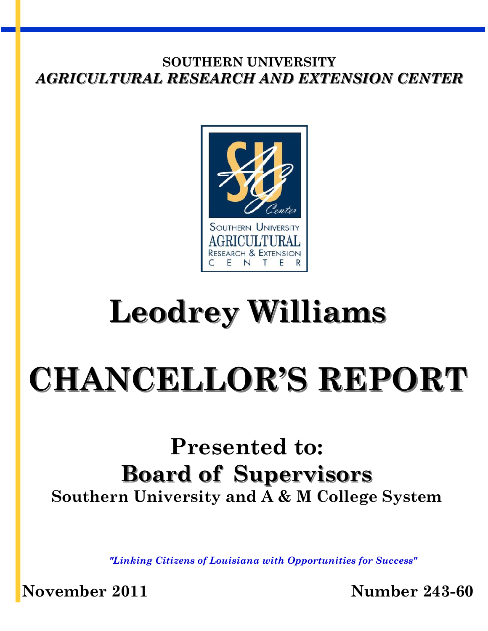

# **Leodrey Williams**

# **CHANCELLOR'S REPORT**

# **Presented to: Board of Supervisors Southern University and A & M College System**

*"Linking Citizens of Louisiana with Opportunities for Success"*

**November 2011 Number 243-60**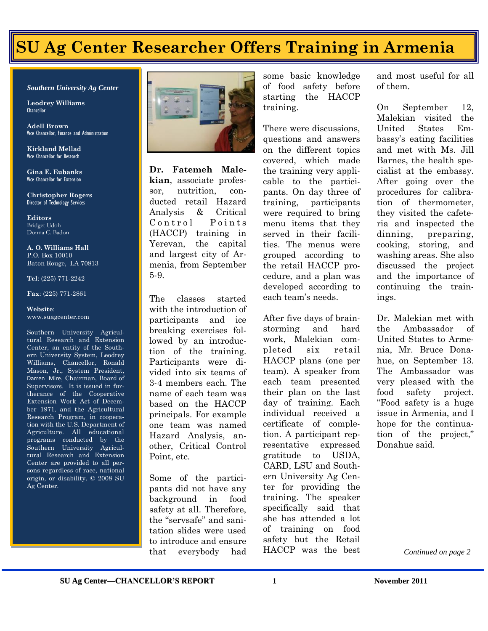# **SU Ag Center Researcher Offers Training in Armenia**

#### *Southern University Ag Center*

**Leodrey Williams**  Chancellor

**Adell Brown** Vice Chancellor, Finance and Administration

**Kirkland Mellad** Vice Chancellor for Research

**Gina E. Eubanks** Vice Chancellor for Extension

**Christopher Rogers** Director of Technology Services

**Editors** Bridget Udoh Donna C. Badon

**A. O. Williams Hall** P.O. Box 10010 Baton Rouge, LA 70813

#### **Tel**: (225) 771-2242

#### **Fax**: (225) 771-2861

#### **Website**: www.suagcenter.com

Southern University Agricultural Research and Extension Center, an entity of the Southern University System, Leodrey Williams, Chancellor, Ronald Mason, Jr., System President, Darren Mire, Chairman, Board of Supervisors. It is issued in furtherance of the Cooperative Extension Work Act of December 1971, and the Agricultural Research Program, in cooperation with the U.S. Department of Agriculture. All educational programs conducted by the Southern University Agricultural Research and Extension Center are provided to all persons regardless of race, national origin, or disability. © 2008 SU Ag Center.



**Dr. Fatemeh Malekian**, associate professor, nutrition, conducted retail Hazard Analysis & Critical Control Points (HACCP) training in Yerevan, the capital and largest city of Armenia, from September 5-9.

The classes started with the introduction of participants and ice breaking exercises followed by an introduction of the training. Participants were divided into six teams of 3-4 members each. The name of each team was based on the HACCP principals. For example one team was named Hazard Analysis, another, Critical Control Point, etc.

Some of the participants did not have any background in food safety at all. Therefore, the "servsafe" and sanitation slides were used to introduce and ensure that everybody had some basic knowledge of food safety before starting the HACCP training.

There were discussions, questions and answers on the different topics covered, which made the training very applicable to the participants. On day three of training, participants were required to bring menu items that they served in their facilities. The menus were grouped according to the retail HACCP procedure, and a plan was developed according to each team's needs.

After five days of brainstorming and hard work, Malekian completed six retail HACCP plans (one per team). A speaker from each team presented their plan on the last day of training. Each individual received a certificate of completion. A participant representative expressed gratitude to USDA, CARD, LSU and Southern University Ag Center for providing the training. The speaker specifically said that she has attended a lot of training on food safety but the Retail HACCP was the best

and most useful for all of them.

On September 12, Malekian visited the United States Embassy's eating facilities and met with Ms. Jill Barnes, the health specialist at the embassy. After going over the procedures for calibration of thermometer, they visited the cafeteria and inspected the dinning, preparing, cooking, storing, and washing areas. She also discussed the project and the importance of continuing the trainings.

Dr. Malekian met with the Ambassador of United States to Armenia, Mr. Bruce Donahue, on September 13. The Ambassador was very pleased with the food safety project. "Food safety is a huge issue in Armenia, and I hope for the continuation of the project," Donahue said.

*Continued on page 2*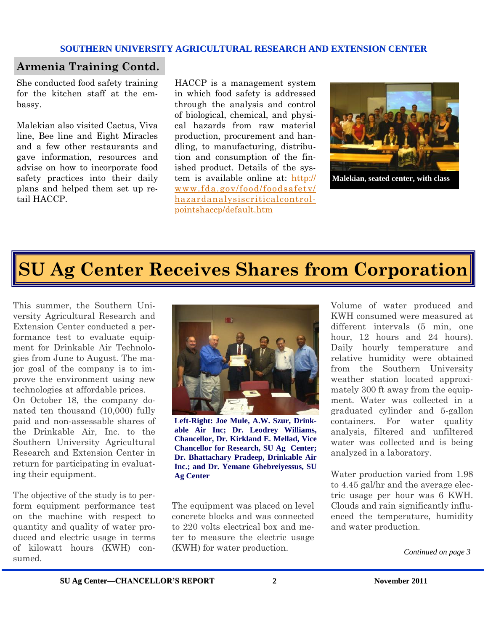## **Armenia Training Contd.**

She conducted food safety training for the kitchen staff at the embassy.

Malekian also visited Cactus, Viva line, Bee line and Eight Miracles and a few other restaurants and gave information, resources and advise on how to incorporate food safety practices into their daily plans and helped them set up retail HACCP.

HACCP is a management system in which food safety is addressed through the analysis and control of biological, chemical, and physical hazards from raw material production, procurement and handling, to manufacturing, distribution and consumption of the finished product. Details of the system is available online at: [http://](http://www.fda.gov/food/foodsafety/hazardanalysiscriticalcontrolpointshaccp/default.htm) [www.fda.gov/food/foodsafety/](http://www.fda.gov/food/foodsafety/hazardanalysiscriticalcontrolpointshaccp/default.htm) [hazardanalysiscriticalcontrol](http://www.fda.gov/food/foodsafety/hazardanalysiscriticalcontrolpointshaccp/default.htm)[pointshaccp/default.htm](http://www.fda.gov/food/foodsafety/hazardanalysiscriticalcontrolpointshaccp/default.htm)



**Malekian, seated center, with class**

# **SU Ag Center Receives Shares from Corporation**

This summer, the Southern University Agricultural Research and Extension Center conducted a performance test to evaluate equipment for Drinkable Air Technologies from June to August. The major goal of the company is to improve the environment using new technologies at affordable prices.

On October 18, the company donated ten thousand (10,000) fully paid and non-assessable shares of the Drinkable Air, Inc. to the Southern University Agricultural Research and Extension Center in return for participating in evaluating their equipment.

The objective of the study is to perform equipment performance test on the machine with respect to quantity and quality of water produced and electric usage in terms of kilowatt hours (KWH) consumed.



**Left-Right: Joe Mule, A.W. Szur, Drinkable Air Inc; Dr. Leodrey Williams, Chancellor, Dr. Kirkland E. Mellad, Vice Chancellor for Research, SU Ag Center; Dr. Bhattachary Pradeep, Drinkable Air Inc.; and Dr. Yemane Ghebreiyessus, SU Ag Center**

The equipment was placed on level concrete blocks and was connected to 220 volts electrical box and meter to measure the electric usage (KWH) for water production.

Volume of water produced and KWH consumed were measured at different intervals (5 min, one hour, 12 hours and 24 hours). Daily hourly temperature and relative humidity were obtained from the Southern University weather station located approximately 300 ft away from the equipment. Water was collected in a graduated cylinder and 5-gallon containers. For water quality analysis, filtered and unfiltered water was collected and is being analyzed in a laboratory.

Water production varied from 1.98 to 4.45 gal/hr and the average electric usage per hour was 6 KWH. Clouds and rain significantly influenced the temperature, humidity and water production.

*Continued on page 3*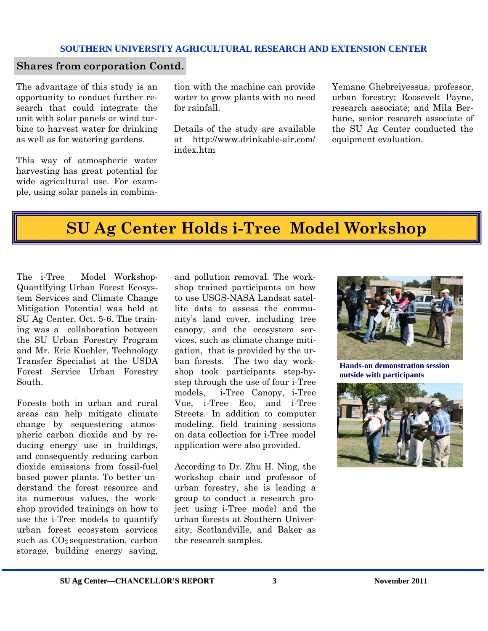## **Shares from corporation Contd.**

The advantage of this study is an opportunity to conduct further research that could integrate the unit with solar panels or wind turbine to harvest water for drinking as well as for watering gardens.

This way of atmospheric water harvesting has great potential for wide agricultural use. For example, using solar panels in combination with the machine can provide water to grow plants with no need for rainfall.

Details of the study are available at [http://www.drinkable-air.com/](http://www.drinkable-air.com/index.htm) [index.htm](http://www.drinkable-air.com/index.htm)

Yemane Ghebreiyessus, professor, urban forestry; Roosevelt Payne, research associate; and Mila Berhane, senior research associate of the SU Ag Center conducted the equipment evaluation.

# **SU Ag Center Holds i-Tree Model Workshop**

The i-Tree Model Workshop-Quantifying Urban Forest Ecosystem Services and Climate Change Mitigation Potential was held at SU Ag Center, Oct. 5-6. The training was a collaboration between the SU Urban Forestry Program and Mr. Eric Kuehler, Technology Transfer Specialist at the USDA Forest Service Urban Forestry South.

Forests both in urban and rural areas can help mitigate climate change by sequestering atmospheric carbon dioxide and by reducing energy use in buildings, and consequently reducing carbon dioxide emissions from fossil-fuel based power plants. To better understand the forest resource and its numerous values, the workshop provided trainings on how to use the i-Tree models to quantify urban forest ecosystem services such as  $CO<sub>2</sub>$  sequestration, carbon storage, building energy saving,

and pollution removal. The workshop trained participants on how to use USGS-NASA Landsat satellite data to assess the community's land cover, including tree canopy, and the ecosystem services, such as climate change mitigation, that is provided by the urban forests. The two day workshop took participants step-bystep through the use of four i-Tree models, i-Tree Canopy, i-Tree Vue, i-Tree Eco, and i-Tree Streets. In addition to computer modeling, field training sessions on data collection for i-Tree model application were also provided.

According to Dr. Zhu H. Ning, the workshop chair and professor of urban forestry, she is leading a group to conduct a research project using i-Tree model and the urban forests at Southern University, Scotlandville, and Baker as the research samples.



**Hands-on demonstration session outside with participants**

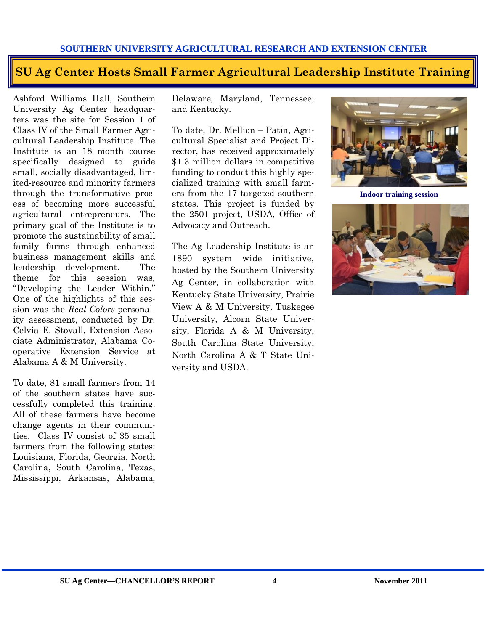## **SU Ag Center Hosts Small Farmer Agricultural Leadership Institute Training**

Ashford Williams Hall, Southern University Ag Center headquarters was the site for Session 1 of Class IV of the Small Farmer Agricultural Leadership Institute. The Institute is an 18 month course specifically designed to guide small, socially disadvantaged, limited-resource and minority farmers through the transformative process of becoming more successful agricultural entrepreneurs. The primary goal of the Institute is to promote the sustainability of small family farms through enhanced business management skills and leadership development. The theme for this session was, "Developing the Leader Within." One of the highlights of this session was the *Real Colors* personality assessment, conducted by Dr. Celvia E. Stovall, Extension Associate Administrator, Alabama Cooperative Extension Service at Alabama A & M University.

To date, 81 small farmers from 14 of the southern states have successfully completed this training. All of these farmers have become change agents in their communities. Class IV consist of 35 small farmers from the following states: Louisiana, Florida, Georgia, North Carolina, South Carolina, Texas, Mississippi, Arkansas, Alabama,

Delaware, Maryland, Tennessee, and Kentucky.

To date, Dr. Mellion – Patin, Agricultural Specialist and Project Director, has received approximately \$1.3 million dollars in competitive funding to conduct this highly specialized training with small farmers from the 17 targeted southern states. This project is funded by the 2501 project, USDA, Office of Advocacy and Outreach.

The Ag Leadership Institute is an 1890 system wide initiative, hosted by the Southern University Ag Center, in collaboration with Kentucky State University, Prairie View A & M University, Tuskegee University, Alcorn State University, Florida A & M University, South Carolina State University, North Carolina A & T State University and USDA.



**Indoor training session**

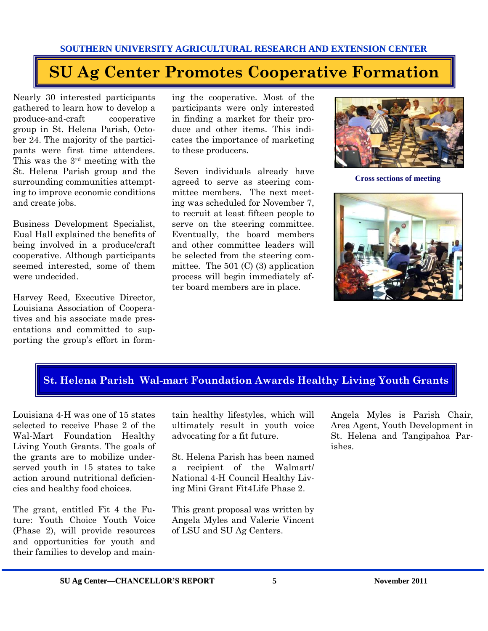# **SU Ag Center Promotes Cooperative Formation**

Nearly 30 interested participants gathered to learn how to develop a produce-and-craft cooperative group in St. Helena Parish, October 24. The majority of the participants were first time attendees. This was the 3rd meeting with the St. Helena Parish group and the surrounding communities attempting to improve economic conditions and create jobs.

Business Development Specialist, Eual Hall explained the benefits of being involved in a produce/craft cooperative. Although participants seemed interested, some of them were undecided.

Harvey Reed, Executive Director, Louisiana Association of Cooperatives and his associate made presentations and committed to supporting the group's effort in forming the cooperative. Most of the participants were only interested in finding a market for their produce and other items. This indicates the importance of marketing to these producers.

Seven individuals already have agreed to serve as steering committee members. The next meeting was scheduled for November 7, to recruit at least fifteen people to serve on the steering committee. Eventually, the board members and other committee leaders will be selected from the steering committee. The  $501$  (C) (3) application process will begin immediately after board members are in place.



**Cross sections of meeting** 



## **St. Helena Parish Wal-mart Foundation Awards Healthy Living Youth Grants**

Louisiana 4-H was one of 15 states selected to receive Phase 2 of the Wal-Mart Foundation Healthy Living Youth Grants. The goals of the grants are to mobilize underserved youth in 15 states to take action around nutritional deficiencies and healthy food choices.

The grant, entitled Fit 4 the Future: Youth Choice Youth Voice (Phase 2), will provide resources and opportunities for youth and their families to develop and maintain healthy lifestyles, which will ultimately result in youth voice advocating for a fit future.

St. Helena Parish has been named a recipient of the Walmart/ National 4-H Council Healthy Living Mini Grant Fit4Life Phase 2.

This grant proposal was written by Angela Myles and Valerie Vincent of LSU and SU Ag Centers.

Angela Myles is Parish Chair, Area Agent, Youth Development in St. Helena and Tangipahoa Parishes.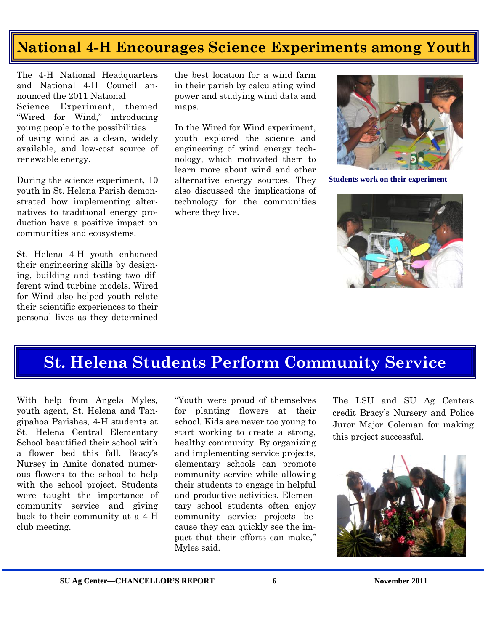## **National 4-H Encourages Science Experiments among Youth**

The 4-H National Headquarters and National 4-H Council announced the 2011 National Science Experiment, themed "Wired for Wind," introducing young people to the possibilities of using wind as a clean, widely available, and low-cost source of renewable energy.

During the science experiment, 10 youth in St. Helena Parish demonstrated how implementing alternatives to traditional energy production have a positive impact on communities and ecosystems.

St. Helena 4-H youth enhanced their engineering skills by designing, building and testing two different wind turbine models. Wired for Wind also helped youth relate their scientific experiences to their personal lives as they determined

the best location for a wind farm in their parish by calculating wind power and studying wind data and maps.

In the Wired for Wind experiment, youth explored the science and engineering of wind energy technology, which motivated them to learn more about wind and other alternative energy sources. They also discussed the implications of technology for the communities where they live.



**Students work on their experiment**



## **St. Helena Students Perform Community Service**

With help from Angela Myles, youth agent, St. Helena and Tangipahoa Parishes, 4-H students at St. Helena Central Elementary School beautified their school with a flower bed this fall. Bracy's Nursey in Amite donated numerous flowers to the school to help with the school project. Students were taught the importance of community service and giving back to their community at a 4-H club meeting.

"Youth were proud of themselves for planting flowers at their school. Kids are never too young to start working to create a strong, healthy community. By organizing and implementing service projects, elementary schools can promote community service while allowing their students to engage in helpful and productive activities. Elementary school students often enjoy community service projects because they can quickly see the impact that their efforts can make," Myles said.

The LSU and SU Ag Centers credit Bracy's Nursery and Police Juror Major Coleman for making this project successful.

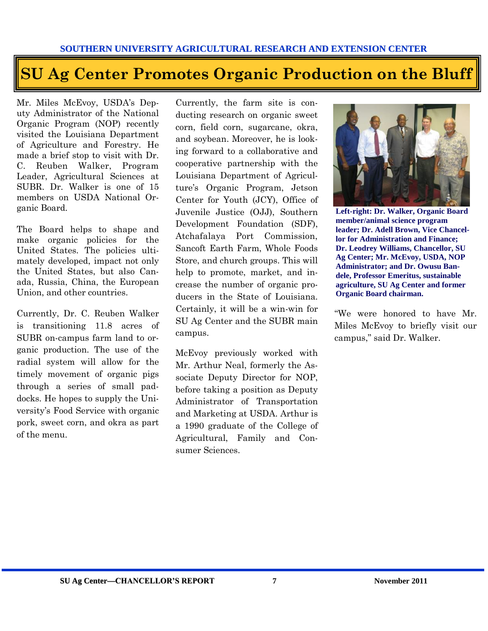# **SU Ag Center Promotes Organic Production on the Bluff**

Mr. Miles McEvoy, USDA's Deputy Administrator of the National Organic Program (NOP) recently visited the Louisiana Department of Agriculture and Forestry. He made a brief stop to visit with Dr. C. Reuben Walker, Program Leader, Agricultural Sciences at SUBR. Dr. Walker is one of 15 members on USDA National Organic Board.

The Board helps to shape and make organic policies for the United States. The policies ultimately developed, impact not only the United States, but also Canada, Russia, China, the European Union, and other countries.

Currently, Dr. C. Reuben Walker is transitioning 11.8 acres of SUBR on-campus farm land to organic production. The use of the radial system will allow for the timely movement of organic pigs through a series of small paddocks. He hopes to supply the University's Food Service with organic pork, sweet corn, and okra as part of the menu.

Currently, the farm site is conducting research on organic sweet corn, field corn, sugarcane, okra, and soybean. Moreover, he is looking forward to a collaborative and cooperative partnership with the Louisiana Department of Agriculture's Organic Program, Jetson Center for Youth (JCY), Office of Juvenile Justice (OJJ), Southern Development Foundation (SDF), Atchafalaya Port Commission, Sancoft Earth Farm, Whole Foods Store, and church groups. This will help to promote, market, and increase the number of organic producers in the State of Louisiana. Certainly, it will be a win-win for SU Ag Center and the SUBR main campus.

McEvoy previously worked with Mr. Arthur Neal, formerly the Associate Deputy Director for NOP, before taking a position as Deputy Administrator of Transportation and Marketing at USDA. Arthur is a 1990 graduate of the College of Agricultural, Family and Consumer Sciences.



**Left-right: Dr. Walker, Organic Board member/animal science program leader; Dr. Adell Brown, Vice Chancellor for Administration and Finance; Dr. Leodrey Williams, Chancellor, SU Ag Center; Mr. McEvoy, USDA, NOP Administrator; and Dr. Owusu Bandele, Professor Emeritus, sustainable agriculture, SU Ag Center and former Organic Board chairman.**

"We were honored to have Mr. Miles McEvoy to briefly visit our campus," said Dr. Walker.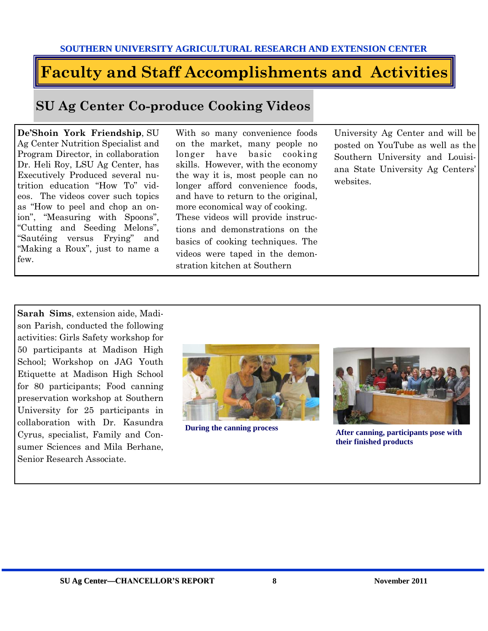# **Faculty and Staff Accomplishments and Activities**

## **SU Ag Center Co-produce Cooking Videos**

**De'Shoin York Friendship**, SU Ag Center Nutrition Specialist and Program Director, in collaboration Dr. Heli Roy, LSU Ag Center, has Executively Produced several nutrition education "How To" videos. The videos cover such topics as "How to peel and chop an onion", "Measuring with Spoons", "Cutting and Seeding Melons", "Sautéing versus Frying" and "Making a Roux", just to name a few.

With so many convenience foods on the market, many people no longer have basic cooking skills. However, with the economy the way it is, most people can no longer afford convenience foods, and have to return to the original, more economical way of cooking. These videos will provide instructions and demonstrations on the basics of cooking techniques. The videos were taped in the demonstration kitchen at Southern

University Ag Center and will be posted on YouTube as well as the Southern University and Louisiana State University Ag Centers' websites.

**Sarah Sims**, extension aide, Madison Parish, conducted the following activities: Girls Safety workshop for 50 participants at Madison High School; Workshop on JAG Youth Etiquette at Madison High School for 80 participants; Food canning preservation workshop at Southern University for 25 participants in collaboration with Dr. Kasundra Cyrus, specialist, Family and Consumer Sciences and Mila Berhane, Senior Research Associate.





**During the canning process After canning, participants pose with their finished products**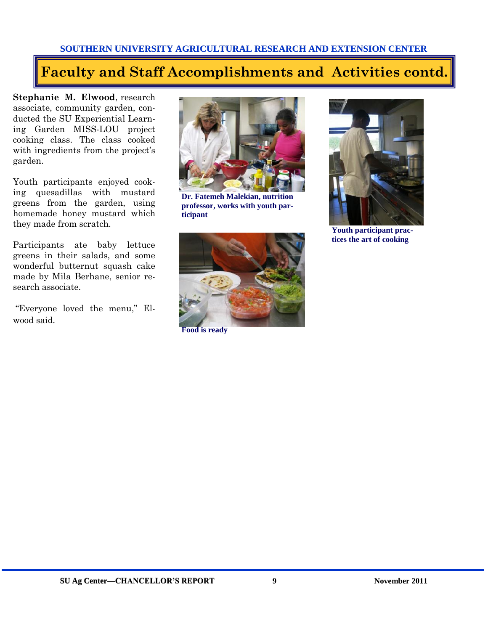## **Faculty and Staff Accomplishments and Activities contd.**

**Stephanie M. Elwood**, research associate, community garden, conducted the SU Experiential Learning Garden MISS-LOU project cooking class. The class cooked with ingredients from the project's garden.

Youth participants enjoyed cooking quesadillas with mustard greens from the garden, using homemade honey mustard which they made from scratch.

Participants ate baby lettuce greens in their salads, and some wonderful butternut squash cake made by Mila Berhane, senior research associate.

"Everyone loved the menu," Elwood said.



**Dr. Fatemeh Malekian, nutrition professor, works with youth participant**



**Food is ready**



**Youth participant practices the art of cooking**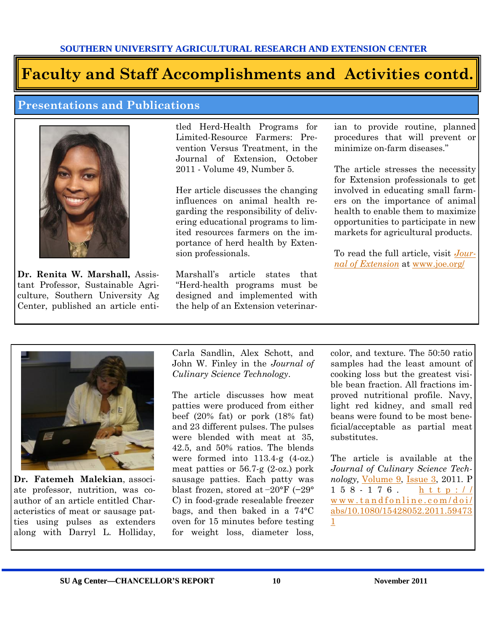# **Faculty and Staff Accomplishments and Activities contd.**

## **Presentations and Publications**



**Dr. Renita W. Marshall,** Assistant Professor, Sustainable Agriculture, Southern University Ag Center, published an article entitled Herd-Health Programs for Limited-Resource Farmers: Prevention Versus Treatment, in the Journal of Extension, October 2011 - Volume 49, Number 5.

Her article discusses the changing influences on animal health regarding the responsibility of delivering educational programs to limited resources farmers on the importance of herd health by Extension professionals.

Marshall's article states that "Herd-health programs must be designed and implemented with the help of an Extension veterinarian to provide routine, planned procedures that will prevent or minimize on-farm diseases."

The article stresses the necessity for Extension professionals to get involved in educating small farmers on the importance of animal health to enable them to maximize opportunities to participate in new markets for agricultural products.

To read the full article, visit *[Jour](http://www.joe.org/)[nal of Extension](http://www.joe.org/)* at [www.joe.org/](http://www.joe.org/)



**Dr. Fatemeh Malekian**, associate professor, nutrition, was coauthor of an article entitled Characteristics of meat or sausage patties using pulses as extenders along with Darryl L. Holliday,

Carla Sandlin, Alex Schott, and John W. Finley in the *Journal of Culinary Science Technology*.

The article discusses how meat patties were produced from either beef (20% fat) or pork (18% fat) and 23 different pulses. The pulses were blended with meat at 35, 42.5, and 50% ratios. The blends were formed into 113.4-g (4-oz.) meat patties or 56.7-g (2-oz.) pork sausage patties. Each patty was blast frozen, stored at −20°F (−29° C) in food-grade resealable freezer bags, and then baked in a 74°C oven for 15 minutes before testing for weight loss, diameter loss,

color, and texture. The 50:50 ratio samples had the least amount of cooking loss but the greatest visible bean fraction. All fractions improved nutritional profile. Navy, light red kidney, and small red beans were found to be most beneficial/acceptable as partial meat substitutes.

The article is available at the *Journal of Culinary Science Technology,* [Volume 9,](http://www.tandfonline.com/loi/wcsc20?open=9#vol_9) [Issue 3,](http://www.tandfonline.com/toc/wcsc20/9/3) 2011. P  $1\ 5\ 8\ -\ 1\ 7\ 6$  . http:// www.tandfonline.com/doi/ [abs/10.1080/15428052.2011.59473](http://www.tandfonline.com/doi/abs/10.1080/15428052.2011.594731) [1](http://www.tandfonline.com/doi/abs/10.1080/15428052.2011.594731)